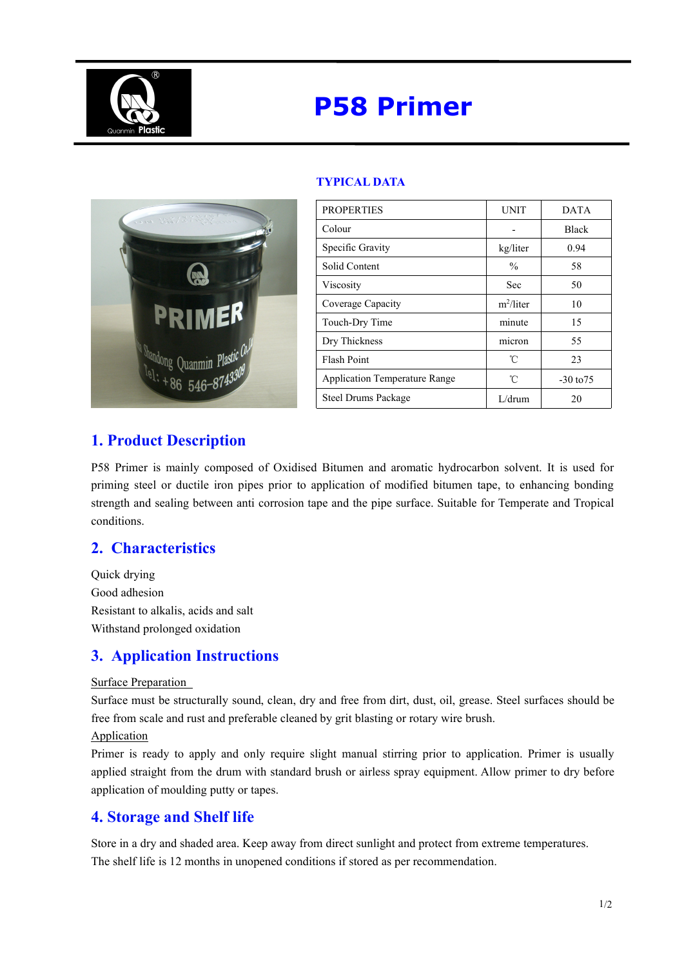

# **P58 Primer**



| <b>PROPERTIES</b>                    | <b>UNIT</b>   | <b>DATA</b>   |
|--------------------------------------|---------------|---------------|
| Colour                               |               | <b>Black</b>  |
| Specific Gravity                     | kg/liter      | 0.94          |
| Solid Content                        | $\frac{0}{0}$ | 58            |
| Viscosity                            | <b>Sec</b>    | 50            |
| Coverage Capacity                    | $m^2/l$ iter  | 10            |
| Touch-Dry Time                       | minute        | 15            |
| Dry Thickness                        | micron        | 55            |
| <b>Flash Point</b>                   | °C            | 23            |
| <b>Application Temperature Range</b> | °C            | $-30$ to $75$ |
| <b>Steel Drums Package</b>           | L/drum        | 20            |

### **TYPICAL DATA**

## **1. Product Description**

P58 Primer is mainly composed of Oxidised Bitumen and aromatic hydrocarbon solvent. It is used for priming steel or ductile iron pipes prior to application of modified bitumen tape, to enhancing bonding strength and sealing between anti corrosion tape and the pipe surface. Suitable for Temperate and Tropical conditions.

## **2. Characteristics**

Quick drying Good adhesion Resistant to alkalis, acids and salt Withstand prolonged oxidation

## **3. Application Instructions**

#### Surface Preparation

Surface must be structurally sound, clean, dry and free from dirt, dust, oil, grease. Steel surfaces should be free from scale and rust and preferable cleaned by grit blasting or rotary wire brush.

#### Application

Primer is ready to apply and only require slight manual stirring prior to application. Primer is usually applied straight from the drum with standard brush or airless spray equipment. Allow primer to dry before application of moulding putty or tapes.

## **4. Storage and Shelf life**

Store in a dry and shaded area. Keep away from direct sunlight and protect from extreme temperatures. The shelf life is 12 months in unopened conditions if stored as per recommendation.